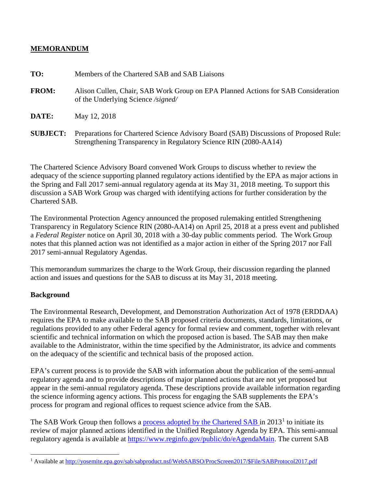## **MEMORANDUM**

| TO:             | Members of the Chartered SAB and SAB Liaisons                                                                                                             |
|-----------------|-----------------------------------------------------------------------------------------------------------------------------------------------------------|
| <b>FROM:</b>    | Alison Cullen, Chair, SAB Work Group on EPA Planned Actions for SAB Consideration<br>of the Underlying Science /signed/                                   |
| DATE:           | May 12, 2018                                                                                                                                              |
| <b>SUBJECT:</b> | Preparations for Chartered Science Advisory Board (SAB) Discussions of Proposed Rule:<br>Strengthening Transparency in Regulatory Science RIN (2080-AA14) |

The Chartered Science Advisory Board convened Work Groups to discuss whether to review the adequacy of the science supporting planned regulatory actions identified by the EPA as major actions in the Spring and Fall 2017 semi-annual regulatory agenda at its May 31, 2018 meeting. To support this discussion a SAB Work Group was charged with identifying actions for further consideration by the Chartered SAB.

The Environmental Protection Agency announced the proposed rulemaking entitled Strengthening Transparency in Regulatory Science RIN (2080-AA14) on April 25, 2018 at a press event and published a *Federal Register* notice on April 30, 2018 with a 30-day public comments period. The Work Group notes that this planned action was not identified as a major action in either of the Spring 2017 nor Fall 2017 semi-annual Regulatory Agendas.

This memorandum summarizes the charge to the Work Group, their discussion regarding the planned action and issues and questions for the SAB to discuss at its May 31, 2018 meeting.

## **Background**

 $\overline{a}$ 

The Environmental Research, Development, and Demonstration Authorization Act of 1978 (ERDDAA) requires the EPA to make available to the SAB proposed criteria documents, standards, limitations, or regulations provided to any other Federal agency for formal review and comment, together with relevant scientific and technical information on which the proposed action is based. The SAB may then make available to the Administrator, within the time specified by the Administrator, its advice and comments on the adequacy of the scientific and technical basis of the proposed action.

EPA's current process is to provide the SAB with information about the publication of the semi-annual regulatory agenda and to provide descriptions of major planned actions that are not yet proposed but appear in the semi-annual regulatory agenda. These descriptions provide available information regarding the science informing agency actions. This process for engaging the SAB supplements the EPA's process for program and regional offices to request science advice from the SAB.

The SAB Work Group then follows a **process adopted by the Chartered SAB** in  $2013<sup>1</sup>$  $2013<sup>1</sup>$  $2013<sup>1</sup>$  to initiate its review of major planned actions identified in the Unified Regulatory Agenda by EPA. This semi-annual regulatory agenda is available at [https://www.reginfo.gov/public/do/eAgendaMain.](https://www.reginfo.gov/public/do/eAgendaMain) The current SAB

<span id="page-0-0"></span><sup>&</sup>lt;sup>1</sup> Available at [http://yosemite.epa.gov/sab/sabproduct.nsf/WebSABSO/ProcScreen2017/\\$File/SABProtocol2017.pdf](http://yosemite.epa.gov/sab/sabproduct.nsf/WebSABSO/ProcScreen2017/$File/SABProtocol2017.pdf)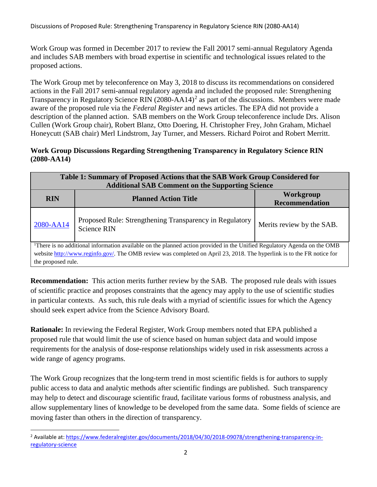Discussions of Proposed Rule: Strengthening Transparency in Regulatory Science RIN (2080-AA14)

Work Group was formed in December 2017 to review the Fall 20017 semi-annual Regulatory Agenda and includes SAB members with broad expertise in scientific and technological issues related to the proposed actions.

The Work Group met by teleconference on May 3, 2018 to discuss its recommendations on considered actions in the Fall 2017 semi-annual regulatory agenda and included the proposed rule: Strengthening Transparency in Regulatory Science RIN  $(2080 - AA14)^2$  $(2080 - AA14)^2$  $(2080 - AA14)^2$  as part of the discussions. Members were made aware of the proposed rule via the *Federal Register* and news articles. The EPA did not provide a description of the planned action. SAB members on the Work Group teleconference include Drs. Alison Cullen (Work Group chair), Robert Blanz, Otto Doering, H. Christopher Frey, John Graham, Michael Honeycutt (SAB chair) Merl Lindstrom, Jay Turner, and Messers. Richard Poirot and Robert Merritt.

## **Work Group Discussions Regarding Strengthening Transparency in Regulatory Science RIN (2080-AA14)**

| Table 1: Summary of Proposed Actions that the SAB Work Group Considered for<br><b>Additional SAB Comment on the Supporting Science</b>                                                                                                                         |                                                                               |                                           |  |
|----------------------------------------------------------------------------------------------------------------------------------------------------------------------------------------------------------------------------------------------------------------|-------------------------------------------------------------------------------|-------------------------------------------|--|
| <b>RIN</b>                                                                                                                                                                                                                                                     | <b>Planned Action Title</b>                                                   | <b>Workgroup</b><br><b>Recommendation</b> |  |
| 2080-AA14                                                                                                                                                                                                                                                      | Proposed Rule: Strengthening Transparency in Regulatory<br><b>Science RIN</b> | Merits review by the SAB.                 |  |
| <sup>1</sup> There is no additional information available on the planned action provided in the Unified Regulatory Agenda on the OMB<br>website http://www.reginfo.gov/. The OMB review was completed on April 23, 2018. The hyperlink is to the FR notice for |                                                                               |                                           |  |

the proposed rule.

**Recommendation:** This action merits further review by the SAB. The proposed rule deals with issues of scientific practice and proposes constraints that the agency may apply to the use of scientific studies in particular contexts. As such, this rule deals with a myriad of scientific issues for which the Agency should seek expert advice from the Science Advisory Board.

**Rationale:** In reviewing the Federal Register, Work Group members noted that EPA published a proposed rule that would limit the use of science based on human subject data and would impose requirements for the analysis of dose-response relationships widely used in risk assessments across a wide range of agency programs.

The Work Group recognizes that the long-term trend in most scientific fields is for authors to supply public access to data and analytic methods after scientific findings are published. Such transparency may help to detect and discourage scientific fraud, facilitate various forms of robustness analysis, and allow supplementary lines of knowledge to be developed from the same data. Some fields of science are moving faster than others in the direction of transparency.

<span id="page-1-0"></span><sup>&</sup>lt;sup>2</sup> Available at[: https://www.federalregister.gov/documents/2018/04/30/2018-09078/strengthening-transparency-in](https://www.federalregister.gov/documents/2018/04/30/2018-09078/strengthening-transparency-in-regulatory-science)[regulatory-science](https://www.federalregister.gov/documents/2018/04/30/2018-09078/strengthening-transparency-in-regulatory-science)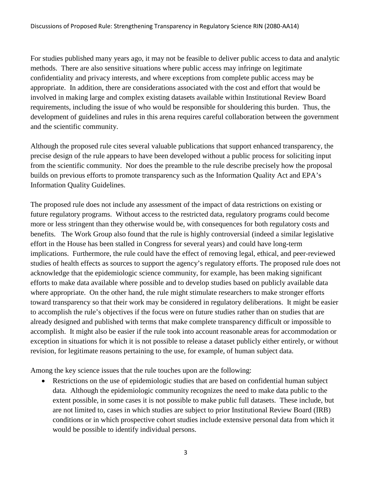For studies published many years ago, it may not be feasible to deliver public access to data and analytic methods. There are also sensitive situations where public access may infringe on legitimate confidentiality and privacy interests, and where exceptions from complete public access may be appropriate. In addition, there are considerations associated with the cost and effort that would be involved in making large and complex existing datasets available within Institutional Review Board requirements, including the issue of who would be responsible for shouldering this burden. Thus, the development of guidelines and rules in this arena requires careful collaboration between the government and the scientific community.

Although the proposed rule cites several valuable publications that support enhanced transparency, the precise design of the rule appears to have been developed without a public process for soliciting input from the scientific community. Nor does the preamble to the rule describe precisely how the proposal builds on previous efforts to promote transparency such as the Information Quality Act and EPA's Information Quality Guidelines.

The proposed rule does not include any assessment of the impact of data restrictions on existing or future regulatory programs. Without access to the restricted data, regulatory programs could become more or less stringent than they otherwise would be, with consequences for both regulatory costs and benefits. The Work Group also found that the rule is highly controversial (indeed a similar legislative effort in the House has been stalled in Congress for several years) and could have long-term implications. Furthermore, the rule could have the effect of removing legal, ethical, and peer-reviewed studies of health effects as sources to support the agency's regulatory efforts. The proposed rule does not acknowledge that the epidemiologic science community, for example, has been making significant efforts to make data available where possible and to develop studies based on publicly available data where appropriate. On the other hand, the rule might stimulate researchers to make stronger efforts toward transparency so that their work may be considered in regulatory deliberations. It might be easier to accomplish the rule's objectives if the focus were on future studies rather than on studies that are already designed and published with terms that make complete transparency difficult or impossible to accomplish. It might also be easier if the rule took into account reasonable areas for accommodation or exception in situations for which it is not possible to release a dataset publicly either entirely, or without revision, for legitimate reasons pertaining to the use, for example, of human subject data.

Among the key science issues that the rule touches upon are the following:

• Restrictions on the use of epidemiologic studies that are based on confidential human subject data. Although the epidemiologic community recognizes the need to make data public to the extent possible, in some cases it is not possible to make public full datasets. These include, but are not limited to, cases in which studies are subject to prior Institutional Review Board (IRB) conditions or in which prospective cohort studies include extensive personal data from which it would be possible to identify individual persons.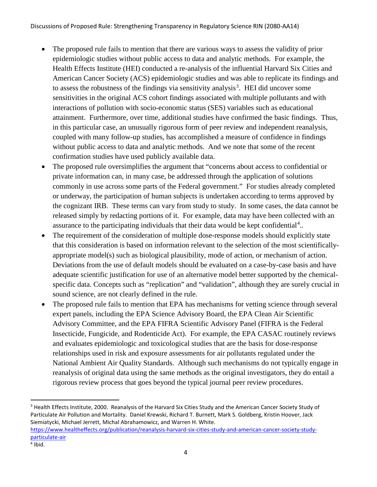- The proposed rule fails to mention that there are various ways to assess the validity of prior epidemiologic studies without public access to data and analytic methods. For example, the Health Effects Institute (HEI) conducted a re-analysis of the influential Harvard Six Cities and American Cancer Society (ACS) epidemiologic studies and was able to replicate its findings and to assess the robustness of the findings via sensitivity analysis<sup>[3](#page-3-0)</sup>. HEI did uncover some sensitivities in the original ACS cohort findings associated with multiple pollutants and with interactions of pollution with socio-economic status (SES) variables such as educational attainment. Furthermore, over time, additional studies have confirmed the basic findings. Thus, in this particular case, an unusually rigorous form of peer review and independent reanalysis, coupled with many follow-up studies, has accomplished a measure of confidence in findings without public access to data and analytic methods. And we note that some of the recent confirmation studies have used publicly available data.
- The proposed rule oversimplifies the argument that "concerns about access to confidential or private information can, in many case, be addressed through the application of solutions commonly in use across some parts of the Federal government." For studies already completed or underway, the participation of human subjects is undertaken according to terms approved by the cognizant IRB. These terms can vary from study to study. In some cases, the data cannot be released simply by redacting portions of it. For example, data may have been collected with an assurance to the participating individuals that their data would be kept confidential<sup>[4](#page-3-1)</sup>..
- The requirement of the consideration of multiple dose-response models should explicitly state that this consideration is based on information relevant to the selection of the most scientificallyappropriate model(s) such as biological plausibility, mode of action, or mechanism of action. Deviations from the use of default models should be evaluated on a case-by-case basis and have adequate scientific justification for use of an alternative model better supported by the chemicalspecific data. Concepts such as "replication" and "validation", although they are surely crucial in sound science, are not clearly defined in the rule.
- The proposed rule fails to mention that EPA has mechanisms for vetting science through several expert panels, including the EPA Science Advisory Board, the EPA Clean Air Scientific Advisory Committee, and the EPA FIFRA Scientific Advisory Panel (FIFRA is the Federal Insecticide, Fungicide, and Rodenticide Act). For example, the EPA CASAC routinely reviews and evaluates epidemiologic and toxicological studies that are the basis for dose-response relationships used in risk and exposure assessments for air pollutants regulated under the National Ambient Air Quality Standards. Although such mechanisms do not typically engage in reanalysis of original data using the same methods as the original investigators, they do entail a rigorous review process that goes beyond the typical journal peer review procedures.

<span id="page-3-0"></span><sup>3</sup> Health Effects Institute, 2000. Reanalysis of the Harvard Six Cities Study and the American Cancer Society Study of Particulate Air Pollution and Mortality. Daniel Krewski, Richard T. Burnett, Mark S. Goldberg, Kristin Hoover, Jack Siemiatycki, Michael Jerrett, Michal Abrahamowicz, and Warren H. White. [https://www.healtheffects.org/publication/reanalysis-harvard-six-cities-study-and-american-cancer-society-study](https://www.healtheffects.org/publication/reanalysis-harvard-six-cities-study-and-american-cancer-society-study-particulate-air)[particulate-air](https://www.healtheffects.org/publication/reanalysis-harvard-six-cities-study-and-american-cancer-society-study-particulate-air)

<span id="page-3-1"></span> $4$  Ibid.